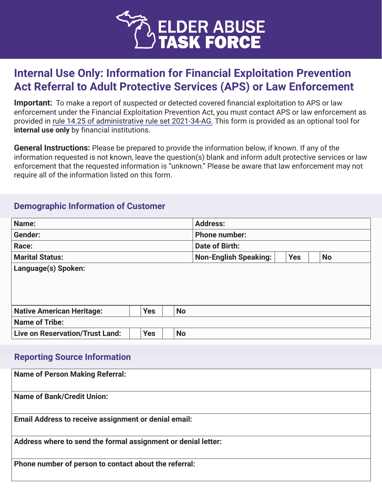

# **Internal Use Only: Information for Financial Exploitation Prevention Act Referral to Adult Protective Services (APS) or Law Enforcement**

**Important:** To make a report of suspected or detected covered financial exploitation to APS or law enforcement under the Financial Exploitation Prevention Act, you must contact APS or law enforcement as provided in [rule 14.25 of administrative rule set 2021-34-AG.](https://www.michiganprosecutor.org/publicresources/financial-exploitation-prevention-act-forms-documents) This form is provided as an optional tool for **internal use only** by financial institutions.

**General Instructions:** Please be prepared to provide the information below, if known. If any of the information requested is not known, leave the question(s) blank and inform adult protective services or law enforcement that the requested information is "unknown." Please be aware that law enforcement may not require all of the information listed on this form.

#### **Demographic Information of Customer**

| Name:                                  |            |           | <b>Address:</b>              |            |           |  |
|----------------------------------------|------------|-----------|------------------------------|------------|-----------|--|
| <b>Gender:</b>                         |            |           | <b>Phone number:</b>         |            |           |  |
| Race:                                  |            |           | <b>Date of Birth:</b>        |            |           |  |
| <b>Marital Status:</b>                 |            |           | <b>Non-English Speaking:</b> | <b>Yes</b> | <b>No</b> |  |
| Language(s) Spoken:                    |            |           |                              |            |           |  |
|                                        |            |           |                              |            |           |  |
|                                        |            |           |                              |            |           |  |
|                                        |            |           |                              |            |           |  |
| <b>Native American Heritage:</b>       | <b>Yes</b> | <b>No</b> |                              |            |           |  |
| <b>Name of Tribe:</b>                  |            |           |                              |            |           |  |
| <b>Live on Reservation/Trust Land:</b> | <b>Yes</b> | <b>No</b> |                              |            |           |  |
|                                        |            |           |                              |            |           |  |
| <b>Reporting Source Information</b>    |            |           |                              |            |           |  |
|                                        |            |           |                              |            |           |  |

| <b>Name of Person Making Referral:</b>                        |
|---------------------------------------------------------------|
| <b>Name of Bank/Credit Union:</b>                             |
| <b>Email Address to receive assignment or denial email:</b>   |
| Address where to send the formal assignment or denial letter: |
| Phone number of person to contact about the referral:         |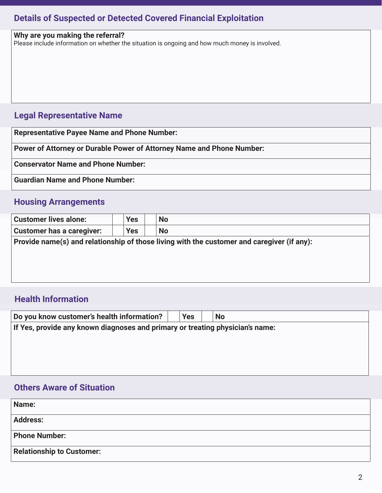### **Details of Suspected or Detected Covered Financial Exploitation**

| Why are you making the referral?                                                               |
|------------------------------------------------------------------------------------------------|
| Please include information on whether the situation is ongoing and how much money is involved. |
|                                                                                                |
|                                                                                                |
|                                                                                                |
|                                                                                                |
|                                                                                                |
|                                                                                                |
|                                                                                                |
|                                                                                                |
|                                                                                                |
| <b>Legal Representative Name</b>                                                               |
|                                                                                                |
|                                                                                                |
| <b>Representative Payee Name and Phone Number:</b>                                             |
|                                                                                                |
| Power of Attorney or Durable Power of Attorney Name and Phone Number:                          |

**Conservator Name and Phone Number:**

**Guardian Name and Phone Number:**

### **Housing Arrangements**

| <b>Yes</b>                                                                                 | <b>No</b> |  |  |  |  |  |  |
|--------------------------------------------------------------------------------------------|-----------|--|--|--|--|--|--|
| <b>Yes</b>                                                                                 | <b>No</b> |  |  |  |  |  |  |
| Provide name(s) and relationship of those living with the customer and caregiver (if any): |           |  |  |  |  |  |  |
|                                                                                            |           |  |  |  |  |  |  |
|                                                                                            |           |  |  |  |  |  |  |
|                                                                                            |           |  |  |  |  |  |  |
|                                                                                            |           |  |  |  |  |  |  |

### **Health Information**

| Do you know customer's health information?                                    | <b>Yes</b> | <b>No</b> |  |  |  |  |  |  |
|-------------------------------------------------------------------------------|------------|-----------|--|--|--|--|--|--|
| If Yes, provide any known diagnoses and primary or treating physician's name: |            |           |  |  |  |  |  |  |
|                                                                               |            |           |  |  |  |  |  |  |
|                                                                               |            |           |  |  |  |  |  |  |
|                                                                               |            |           |  |  |  |  |  |  |

### **Others Aware of Situation**

| Name:                            |  |
|----------------------------------|--|
| <b>Address:</b>                  |  |
| <b>Phone Number:</b>             |  |
| <b>Relationship to Customer:</b> |  |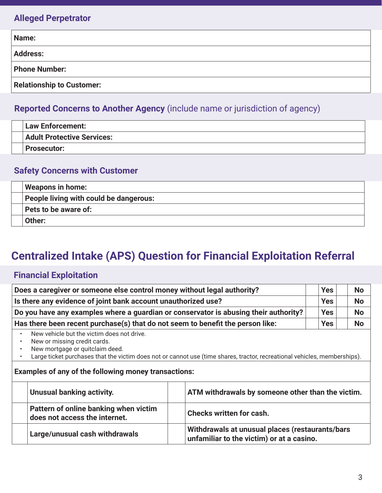### **Alleged Perpetrator**

| Name:                            |  |  |  |  |  |
|----------------------------------|--|--|--|--|--|
| <b>Address:</b>                  |  |  |  |  |  |
| <b>Phone Number:</b>             |  |  |  |  |  |
| <b>Relationship to Customer:</b> |  |  |  |  |  |

# **Reported Concerns to Another Agency** (include name or jurisdiction of agency)

| <b>Law Enforcement:</b>           |
|-----------------------------------|
| <b>Adult Protective Services:</b> |
| <b>Prosecutor:</b>                |

### **Safety Concerns with Customer**

| <b>Weapons in home:</b>                |
|----------------------------------------|
| People living with could be dangerous: |
| Pets to be aware of:                   |
| Other:                                 |

# **Centralized Intake (APS) Question for Financial Exploitation Referral**

## **Financial Exploitation**

| Does a caregiver or someone else control money without legal authority?                                                                                                                                                                                                                                                |                                                                        |                                                                                              | <b>Yes</b>               | <b>No</b> |  |
|------------------------------------------------------------------------------------------------------------------------------------------------------------------------------------------------------------------------------------------------------------------------------------------------------------------------|------------------------------------------------------------------------|----------------------------------------------------------------------------------------------|--------------------------|-----------|--|
| Is there any evidence of joint bank account unauthorized use?<br>Do you have any examples where a guardian or conservator is abusing their authority?                                                                                                                                                                  |                                                                        |                                                                                              | <b>Yes</b><br><b>Yes</b> | <b>No</b> |  |
|                                                                                                                                                                                                                                                                                                                        |                                                                        |                                                                                              |                          | <b>No</b> |  |
| Has there been recent purchase(s) that do not seem to benefit the person like:                                                                                                                                                                                                                                         |                                                                        |                                                                                              | <b>Yes</b>               | <b>No</b> |  |
| New vehicle but the victim does not drive.<br>New or missing credit cards.<br>$\bullet$<br>New mortgage or quitclaim deed.<br>Large ticket purchases that the victim does not or cannot use (time shares, tractor, recreational vehicles, memberships).<br><b>Examples of any of the following money transactions:</b> |                                                                        |                                                                                              |                          |           |  |
|                                                                                                                                                                                                                                                                                                                        | <b>Unusual banking activity.</b>                                       | ATM withdrawals by someone other than the victim.                                            |                          |           |  |
|                                                                                                                                                                                                                                                                                                                        | Pattern of online banking when victim<br>does not access the internet. | <b>Checks written for cash.</b>                                                              |                          |           |  |
|                                                                                                                                                                                                                                                                                                                        | Large/unusual cash withdrawals                                         | Withdrawals at unusual places (restaurants/bars<br>unfamiliar to the victim) or at a casino. |                          |           |  |